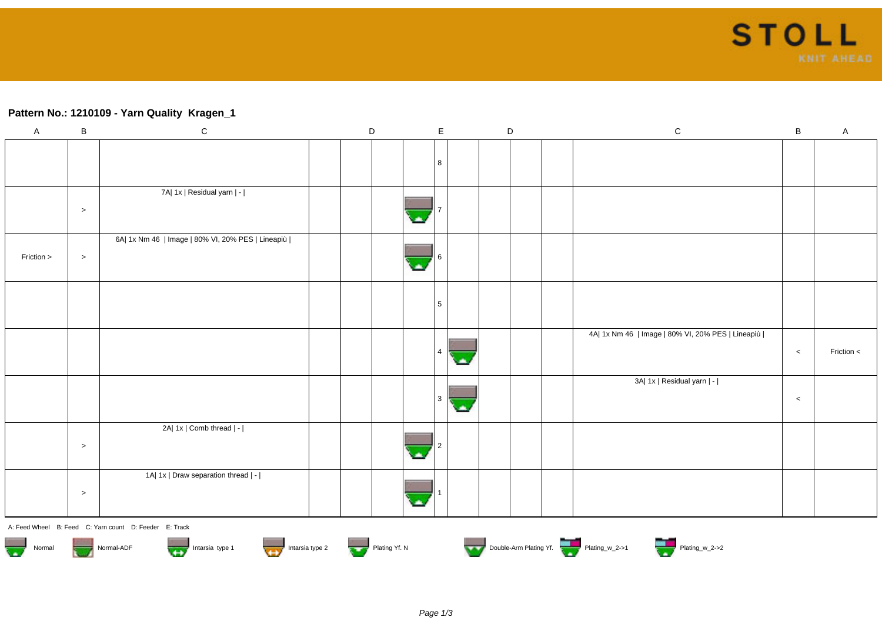## **Pattern No.: 1210109 - Yarn Quality Kragen\_1**

| $\mathsf A$                                            | $\, {\bf B}$                                                                             | ${\bf C}$                                         |  | $\mathsf D$ |  |   | $\mathsf E$ |     |  | $\mathsf D$ |  | $\mathsf C$                                       | $\, {\bf B}$ | $\mathsf A$ |
|--------------------------------------------------------|------------------------------------------------------------------------------------------|---------------------------------------------------|--|-------------|--|---|-------------|-----|--|-------------|--|---------------------------------------------------|--------------|-------------|
|                                                        |                                                                                          |                                                   |  |             |  |   |             |     |  |             |  |                                                   |              |             |
|                                                        |                                                                                          |                                                   |  |             |  |   | 8           |     |  |             |  |                                                   |              |             |
|                                                        |                                                                                          | 7A  1x   Residual yarn   -                        |  |             |  |   |             |     |  |             |  |                                                   |              |             |
|                                                        |                                                                                          |                                                   |  |             |  |   |             |     |  |             |  |                                                   |              |             |
|                                                        | $\,>$                                                                                    |                                                   |  |             |  |   |             |     |  |             |  |                                                   |              |             |
|                                                        |                                                                                          | 6A  1x Nm 46   Image   80% VI, 20% PES   Lineapiù |  |             |  |   |             |     |  |             |  |                                                   |              |             |
| Friction >                                             | $\geq$                                                                                   |                                                   |  |             |  | ٠ |             |     |  |             |  |                                                   |              |             |
|                                                        |                                                                                          |                                                   |  |             |  |   |             |     |  |             |  |                                                   |              |             |
|                                                        |                                                                                          |                                                   |  |             |  |   | 5           |     |  |             |  |                                                   |              |             |
|                                                        |                                                                                          |                                                   |  |             |  |   |             |     |  |             |  |                                                   |              |             |
|                                                        |                                                                                          |                                                   |  |             |  |   |             |     |  |             |  | 4A  1x Nm 46   Image   80% VI, 20% PES   Lineapiù |              |             |
|                                                        |                                                                                          |                                                   |  |             |  |   | $\sqrt{4}$  | с.  |  |             |  |                                                   | $\,<$        | Friction <  |
|                                                        |                                                                                          |                                                   |  |             |  |   |             |     |  |             |  |                                                   |              |             |
|                                                        |                                                                                          |                                                   |  |             |  |   |             |     |  |             |  | 3A  1x   Residual yarn   -                        |              |             |
|                                                        |                                                                                          |                                                   |  |             |  |   | 3           | СA. |  |             |  |                                                   | $\,<$        |             |
|                                                        |                                                                                          | 2A  1x   Comb thread   -                          |  |             |  |   |             |     |  |             |  |                                                   |              |             |
|                                                        | $\,>$                                                                                    |                                                   |  |             |  |   |             |     |  |             |  |                                                   |              |             |
|                                                        |                                                                                          |                                                   |  |             |  |   |             |     |  |             |  |                                                   |              |             |
|                                                        |                                                                                          | 1A  1x   Draw separation thread   -               |  |             |  |   |             |     |  |             |  |                                                   |              |             |
|                                                        | $\, > \,$                                                                                |                                                   |  |             |  |   |             |     |  |             |  |                                                   |              |             |
|                                                        |                                                                                          |                                                   |  |             |  |   |             |     |  |             |  |                                                   |              |             |
| A: Feed Wheel B: Feed C: Yarn count D: Feeder E: Track |                                                                                          |                                                   |  |             |  |   |             |     |  |             |  |                                                   |              |             |
| $\overline{\mathbf{w}}$<br>Normal                      | Double-Arm Plating Yf.<br>Intarsia type 1 Intarsia type 2<br>Plating Yf. N<br>Normal-ADF |                                                   |  |             |  |   |             |     |  |             |  |                                                   |              |             |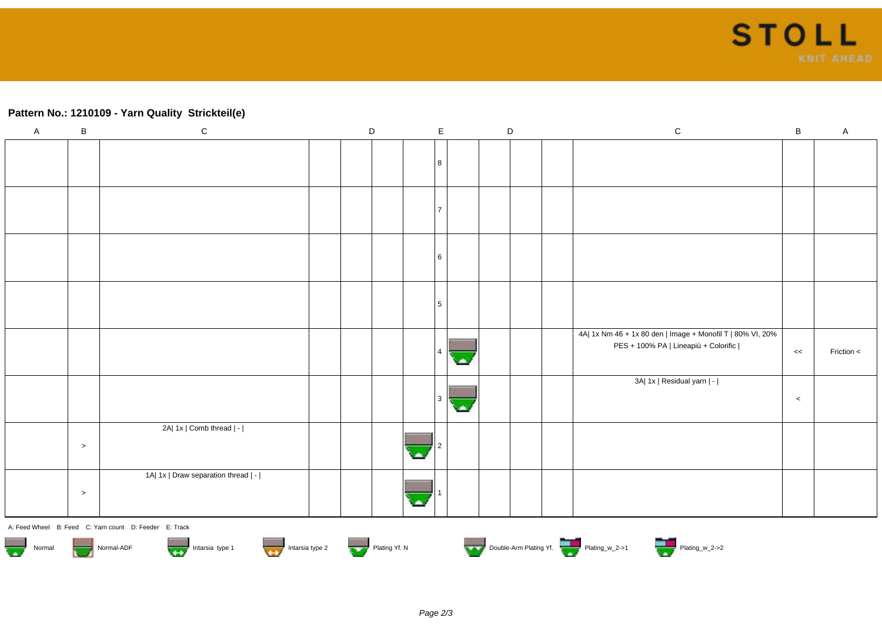

## **Pattern No.: 1210109 - Yarn Quality Strickteil(e)**

| $\mathsf{A}$ | $\sf B$ | ${\rm C}$                                              | $\mathsf D$ | $\mathsf{E}$   |   | $\mathsf D$ | ${\bf C}$                                                  | $\sf B$ | $\mathsf{A}$ |
|--------------|---------|--------------------------------------------------------|-------------|----------------|---|-------------|------------------------------------------------------------|---------|--------------|
|              |         |                                                        |             |                |   |             |                                                            |         |              |
|              |         |                                                        |             | 8              |   |             |                                                            |         |              |
|              |         |                                                        |             |                |   |             |                                                            |         |              |
|              |         |                                                        |             | $\overline{7}$ |   |             |                                                            |         |              |
|              |         |                                                        |             |                |   |             |                                                            |         |              |
|              |         |                                                        |             |                |   |             |                                                            |         |              |
|              |         |                                                        |             | 6              |   |             |                                                            |         |              |
|              |         |                                                        |             |                |   |             |                                                            |         |              |
|              |         |                                                        |             | 5 <sup>5</sup> |   |             |                                                            |         |              |
|              |         |                                                        |             |                |   |             |                                                            |         |              |
|              |         |                                                        |             |                |   |             | 4A  1x Nm 46 + 1x 80 den   Image + Monofil T   80% VI, 20% |         |              |
|              |         |                                                        |             |                |   |             | PES + 100% PA   Lineapiù + Colorific                       | $<<$    | Friction $<$ |
|              |         |                                                        |             |                |   |             | 3A  1x   Residual yarn   -                                 |         |              |
|              |         |                                                        |             | 3 <sup>1</sup> | × |             |                                                            | $\,<$   |              |
|              |         | 2A  1x   Comb thread   -                               |             |                |   |             |                                                            |         |              |
|              | $\geq$  |                                                        |             |                |   |             |                                                            |         |              |
|              |         | 1A  1x   Draw separation thread   -                    |             |                |   |             |                                                            |         |              |
|              | $\,>$   |                                                        |             |                |   |             |                                                            |         |              |
|              |         | A: Feed Wheel B: Feed C: Yarn count D: Feeder E: Track |             |                |   |             |                                                            |         |              |